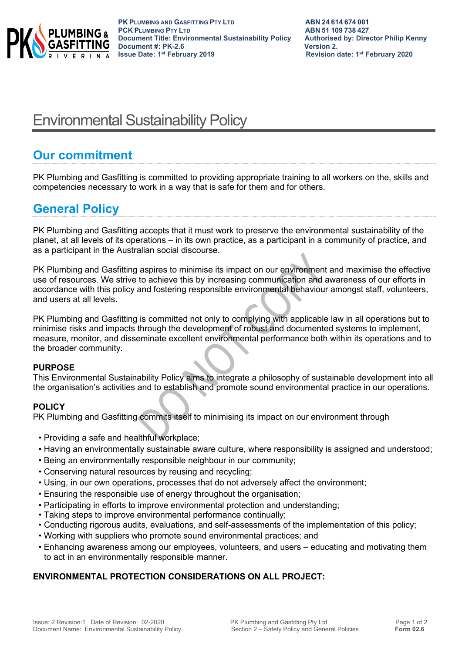

# Environmental Sustainability Policy

## **Our commitment**

PK Plumbing and Gasfitting is committed to providing appropriate training to all workers on the, skills and competencies necessary to work in a way that is safe for them and for others.

# **General Policy**

PK Plumbing and Gasfitting accepts that it must work to preserve the environmental sustainability of the planet, at all levels of its operations – in its own practice, as a participant in a community of practice, and as a participant in the Australian social discourse.

PK Plumbing and Gasfitting aspires to minimise its impact on our environment and maximise the effective use of resources. We strive to achieve this by increasing communication and awareness of our efforts in accordance with this policy and fostering responsible environmental behaviour amongst staff, volunteers, and users at all levels.

PK Plumbing and Gasfitting is committed not only to complying with applicable law in all operations but to minimise risks and impacts through the development of robust and documented systems to implement, measure, monitor, and disseminate excellent environmental performance both within its operations and to the broader community.

#### **PURPOSE**

This Environmental Sustainability Policy aims to integrate a philosophy of sustainable development into all the organisation's activities and to establish and promote sound environmental practice in our operations.

### **POLICY**

PK Plumbing and Gasfitting commits itself to minimising its impact on our environment through

- Providing a safe and healthful workplace;
- Having an environmentally sustainable aware culture, where responsibility is assigned and understood;
- Being an environmentally responsible neighbour in our community;
- Conserving natural resources by reusing and recycling;
- Using, in our own operations, processes that do not adversely affect the environment;
- Ensuring the responsible use of energy throughout the organisation;
- Participating in efforts to improve environmental protection and understanding;
- Taking steps to improve environmental performance continually;
- Conducting rigorous audits, evaluations, and self-assessments of the implementation of this policy;
- Working with suppliers who promote sound environmental practices; and
- Enhancing awareness among our employees, volunteers, and users educating and motivating them to act in an environmentally responsible manner.

### **ENVIRONMENTAL PROTECTION CONSIDERATIONS ON ALL PROJECT:**